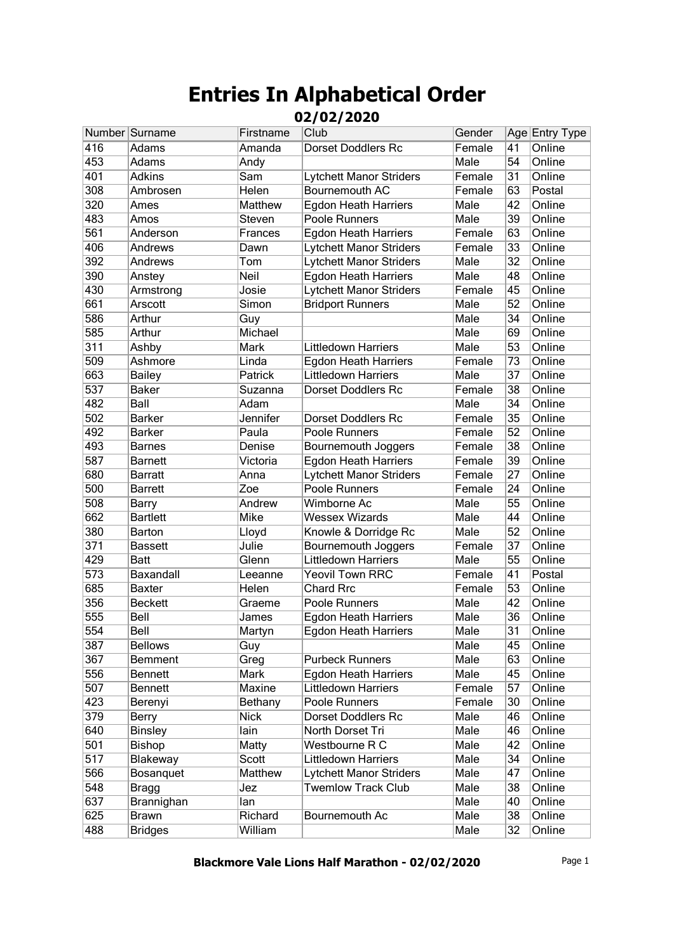|                  | Number Surname  | Firstname   | Club                           | Gender |                 | Age Entry Type |
|------------------|-----------------|-------------|--------------------------------|--------|-----------------|----------------|
| 416              | Adams           | Amanda      | <b>Dorset Doddlers Rc</b>      | Female | 41              | Online         |
| 453              | <b>Adams</b>    | Andy        |                                | Male   | 54              | Online         |
| 401              | <b>Adkins</b>   | Sam         | <b>Lytchett Manor Striders</b> | Female | 31              | Online         |
| 308              | Ambrosen        | Helen       | Bournemouth AC                 | Female | 63              | Postal         |
| 320              | Ames            | Matthew     | <b>Egdon Heath Harriers</b>    | Male   | 42              | Online         |
| 483              | Amos            | Steven      | Poole Runners                  | Male   | 39              | Online         |
| 561              | Anderson        | Frances     | <b>Egdon Heath Harriers</b>    | Female | 63              | Online         |
| 406              | Andrews         | Dawn        | <b>Lytchett Manor Striders</b> | Female | 33              | Online         |
| 392              | Andrews         | Tom         | <b>Lytchett Manor Striders</b> | Male   | 32              | Online         |
| 390              | Anstey          | Neil        | <b>Egdon Heath Harriers</b>    | Male   | 48              | Online         |
| 430              | Armstrong       | Josie       | <b>Lytchett Manor Striders</b> | Female | 45              | Online         |
| 661              | Arscott         | Simon       | <b>Bridport Runners</b>        | Male   | 52              | Online         |
| 586              | Arthur          | Guy         |                                | Male   | 34              | Online         |
| 585              | Arthur          | Michael     |                                | Male   | 69              | Online         |
| $\overline{311}$ | Ashby           | Mark        | <b>Littledown Harriers</b>     | Male   | 53              | Online         |
| 509              | Ashmore         | Linda       | <b>Egdon Heath Harriers</b>    | Female | 73              | Online         |
| 663              | <b>Bailey</b>   | Patrick     | Littledown Harriers            | Male   | 37              | Online         |
| 537              | <b>Baker</b>    | Suzanna     | <b>Dorset Doddlers Rc</b>      | Female | 38              | Online         |
| 482              | Ball            | Adam        |                                | Male   | 34              | Online         |
| 502              | <b>Barker</b>   | Jennifer    | <b>Dorset Doddlers Rc</b>      | Female | 35              | Online         |
| 492              | <b>Barker</b>   | Paula       | Poole Runners                  | Female | 52              | Online         |
| 493              | <b>Barnes</b>   | Denise      | Bournemouth Joggers            | Female | 38              | Online         |
| 587              | <b>Barnett</b>  | Victoria    | <b>Egdon Heath Harriers</b>    | Female | 39              | Online         |
| 680              | <b>Barratt</b>  | Anna        | <b>Lytchett Manor Striders</b> | Female | 27              | Online         |
| 500              | <b>Barrett</b>  | Zoe         | Poole Runners                  | Female | 24              | Online         |
| 508              | <b>Barry</b>    | Andrew      | Wimborne Ac                    | Male   | 55              | Online         |
| 662              | <b>Bartlett</b> | Mike        | <b>Wessex Wizards</b>          | Male   | 44              | Online         |
| 380              | Barton          | Lloyd       | Knowle & Dorridge Rc           | Male   | 52              | Online         |
| 371              | <b>Bassett</b>  | Julie       | Bournemouth Joggers            | Female | $\overline{37}$ | Online         |
| 429              | <b>Batt</b>     | Glenn       | <b>Littledown Harriers</b>     | Male   | 55              | Online         |
| 573              | Baxandall       | Leeanne     | <b>Yeovil Town RRC</b>         | Female | 41              | Postal         |
| 685              | <b>Baxter</b>   | Helen       | <b>Chard Rrc</b>               | Female | 53              | Online         |
| 356              | <b>Beckett</b>  | Graeme      | Poole Runners                  | Male   | 42              | Online         |
| 555              | Bell            | James       | <b>Egdon Heath Harriers</b>    | Male   | 36              | Online         |
| 554              | Bell            | Martyn      | <b>Egdon Heath Harriers</b>    | Male   | 31              | Online         |
| 387              | <b>Bellows</b>  | Guy         |                                | Male   | 45              | Online         |
| 367              | Bemment         | Greg        | <b>Purbeck Runners</b>         | Male   | 63              | Online         |
| 556              | <b>Bennett</b>  | Mark        | <b>Egdon Heath Harriers</b>    | Male   | 45              | Online         |
| 507              | <b>Bennett</b>  | Maxine      | Littledown Harriers            | Female | 57              | Online         |
| 423              | Berenyi         | Bethany     | Poole Runners                  | Female | 30              | Online         |
| 379              | Berry           | <b>Nick</b> | <b>Dorset Doddlers Rc</b>      | Male   | 46              | Online         |
| 640              | <b>Binsley</b>  | lain        | North Dorset Tri               | Male   | 46              | Online         |
| 501              | <b>Bishop</b>   | Matty       | Westbourne R C                 | Male   | 42              | Online         |
| $\overline{517}$ | Blakeway        | Scott       | Littledown Harriers            | Male   | 34              | Online         |
| 566              | Bosanquet       | Matthew     | <b>Lytchett Manor Striders</b> | Male   | 47              | Online         |
| 548              | <b>Bragg</b>    | Jez         | <b>Twemlow Track Club</b>      | Male   | 38              | Online         |
| 637              | Brannighan      | lan         |                                | Male   | 40              | Online         |
| 625              | <b>Brawn</b>    | Richard     | Bournemouth Ac                 | Male   | 38              | Online         |
| 488              | <b>Bridges</b>  | William     |                                | Male   | 32              | Online         |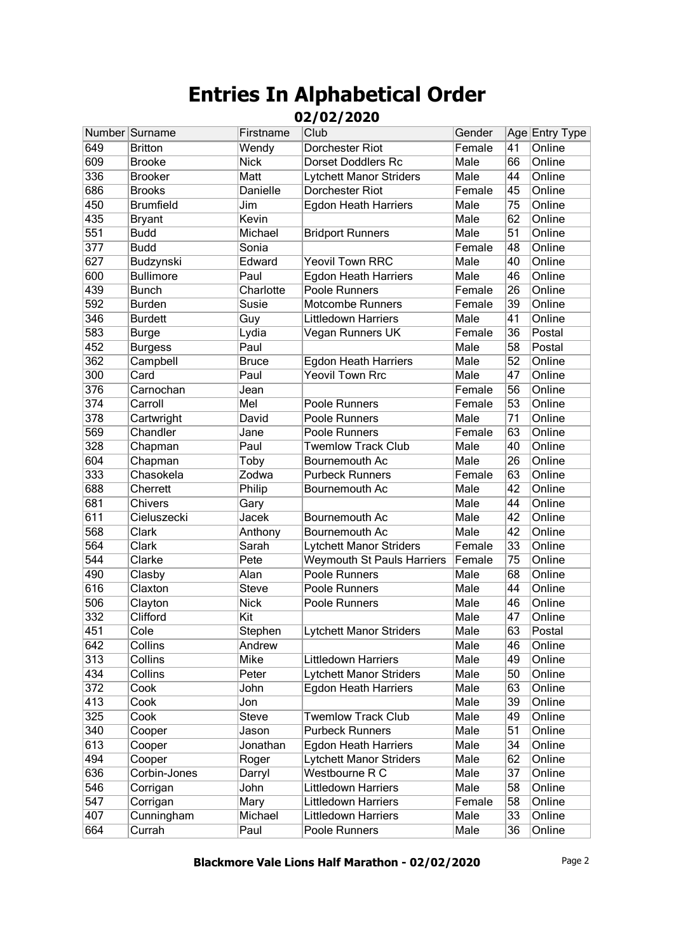|     | Number Surname   | Firstname    | Club                              | Gender |                 | Age Entry Type |
|-----|------------------|--------------|-----------------------------------|--------|-----------------|----------------|
| 649 | <b>Britton</b>   | Wendy        | Dorchester Riot                   | Female | 41              | Online         |
| 609 | <b>Brooke</b>    | <b>Nick</b>  | <b>Dorset Doddlers Rc</b>         | Male   | 66              | Online         |
| 336 | <b>Brooker</b>   | Matt         | <b>Lytchett Manor Striders</b>    | Male   | 44              | Online         |
| 686 | <b>Brooks</b>    | Danielle     | <b>Dorchester Riot</b>            | Female | 45              | Online         |
| 450 | <b>Brumfield</b> | Jim          | <b>Egdon Heath Harriers</b>       | Male   | 75              | Online         |
| 435 | <b>Bryant</b>    | Kevin        |                                   | Male   | 62              | Online         |
| 551 | <b>Budd</b>      | Michael      | <b>Bridport Runners</b>           | Male   | 51              | Online         |
| 377 | <b>Budd</b>      | Sonia        |                                   | Female | 48              | Online         |
| 627 | Budzynski        | Edward       | <b>Yeovil Town RRC</b>            | Male   | 40              | Online         |
| 600 | <b>Bullimore</b> | Paul         | <b>Egdon Heath Harriers</b>       | Male   | 46              | Online         |
| 439 | <b>Bunch</b>     | Charlotte    | Poole Runners                     | Female | 26              | Online         |
| 592 | <b>Burden</b>    | Susie        | <b>Motcombe Runners</b>           | Female | 39              | Online         |
| 346 | <b>Burdett</b>   | Guy          | <b>Littledown Harriers</b>        | Male   | 41              | Online         |
| 583 | <b>Burge</b>     | Lydia        | Vegan Runners UK                  | Female | 36              | Postal         |
| 452 | <b>Burgess</b>   | Paul         |                                   | Male   | 58              | Postal         |
| 362 | Campbell         | <b>Bruce</b> | <b>Egdon Heath Harriers</b>       | Male   | 52              | Online         |
| 300 | Card             | Paul         | <b>Yeovil Town Rrc</b>            | Male   | 47              | Online         |
| 376 | Carnochan        | Jean         |                                   | Female | 56              | Online         |
| 374 | Carroll          | Mel          | Poole Runners                     | Female | 53              | Online         |
| 378 | Cartwright       | David        | Poole Runners                     | Male   | 71              | Online         |
| 569 | Chandler         | Jane         | Poole Runners                     | Female | 63              | Online         |
| 328 | Chapman          | Paul         | <b>Twemlow Track Club</b>         | Male   | 40              | Online         |
| 604 | Chapman          | Toby         | Bournemouth Ac                    | Male   | 26              | Online         |
| 333 | Chasokela        | Zodwa        | <b>Purbeck Runners</b>            | Female | 63              | Online         |
| 688 | Cherrett         | Philip       | Bournemouth Ac                    | Male   | 42              | Online         |
| 681 | Chivers          | Gary         |                                   | Male   | 44              | Online         |
| 611 | Cieluszecki      | Jacek        | Bournemouth Ac                    | Male   | 42              | Online         |
| 568 | Clark            | Anthony      | Bournemouth Ac                    | Male   | 42              | Online         |
| 564 | Clark            | Sarah        | Lytchett Manor Striders           | Female | 33              | Online         |
| 544 | Clarke           | Pete         | <b>Weymouth St Pauls Harriers</b> | Female | 75              | Online         |
| 490 | Clasby           | Alan         | Poole Runners                     | Male   | 68              | Online         |
| 616 | Claxton          | <b>Steve</b> | Poole Runners                     | Male   | 44              | Online         |
| 506 | Clayton          | <b>Nick</b>  | Poole Runners                     | Male   | 46              | Online         |
| 332 | Clifford         | Kit          |                                   | Male   | 47              | Online         |
| 451 | Cole             | Stephen      | Lytchett Manor Striders           | Male   | $\overline{63}$ | Postal         |
| 642 | Collins          | Andrew       |                                   | Male   | 46              | Online         |
| 313 | Collins          | Mike         | Littledown Harriers               | Male   | 49              | Online         |
| 434 | Collins          | Peter        | <b>Lytchett Manor Striders</b>    | Male   | 50              | Online         |
| 372 | Cook             | John         | <b>Egdon Heath Harriers</b>       | Male   | 63              | Online         |
| 413 | Cook             | Jon          |                                   | Male   | 39              | Online         |
| 325 | Cook             | Steve        | <b>Twemlow Track Club</b>         | Male   | 49              | Online         |
| 340 | Cooper           | Jason        | <b>Purbeck Runners</b>            | Male   | 51              | Online         |
| 613 | Cooper           | Jonathan     | <b>Egdon Heath Harriers</b>       | Male   | 34              | Online         |
| 494 | Cooper           | Roger        | <b>Lytchett Manor Striders</b>    | Male   | 62              | Online         |
| 636 | Corbin-Jones     | Darryl       | Westbourne R C                    | Male   | 37              | Online         |
| 546 | Corrigan         | John         | <b>Littledown Harriers</b>        | Male   | 58              | Online         |
| 547 | Corrigan         | Mary         | <b>Littledown Harriers</b>        | Female | 58              | Online         |
| 407 | Cunningham       | Michael      | <b>Littledown Harriers</b>        | Male   | 33              | Online         |
| 664 | Currah           | Paul         | Poole Runners                     | Male   | 36              | Online         |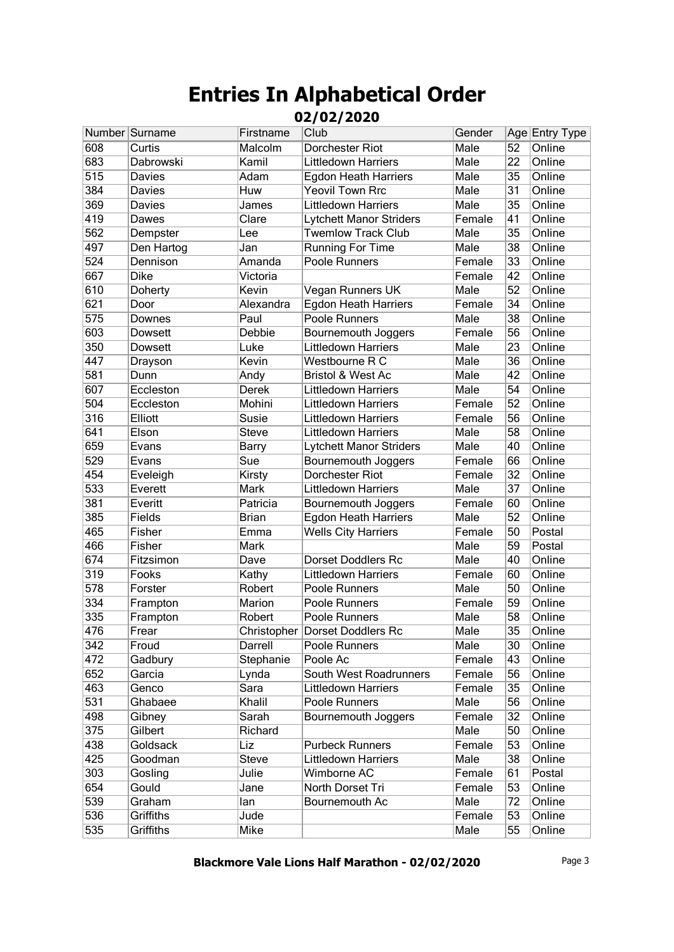|     | Number Surname | Firstname    | Club                           | Gender |                 | Age Entry Type |
|-----|----------------|--------------|--------------------------------|--------|-----------------|----------------|
| 608 | Curtis         | Malcolm      | Dorchester Riot                | Male   | 52              | Online         |
| 683 | Dabrowski      | Kamil        | <b>Littledown Harriers</b>     | Male   | 22              | Online         |
| 515 | Davies         | Adam         | <b>Egdon Heath Harriers</b>    | Male   | 35              | Online         |
| 384 | Davies         | Huw          | <b>Yeovil Town Rrc</b>         | Male   | 31              | Online         |
| 369 | Davies         | James        | <b>Littledown Harriers</b>     | Male   | 35              | Online         |
| 419 | Dawes          | Clare        | Lytchett Manor Striders        | Female | 41              | Online         |
| 562 | Dempster       | Lee          | <b>Twemlow Track Club</b>      | Male   | 35              | Online         |
| 497 | Den Hartog     | Jan          | <b>Running For Time</b>        | Male   | 38              | Online         |
| 524 | Dennison       | Amanda       | Poole Runners                  | Female | 33              | Online         |
| 667 | <b>Dike</b>    | Victoria     |                                | Female | 42              | Online         |
| 610 | Doherty        | Kevin        | Vegan Runners UK               | Male   | 52              | Online         |
| 621 | Door           | Alexandra    | Egdon Heath Harriers           | Female | 34              | Online         |
| 575 | Downes         | Paul         | Poole Runners                  | Male   | 38              | Online         |
| 603 | Dowsett        | Debbie       | Bournemouth Joggers            | Female | 56              | Online         |
| 350 | <b>Dowsett</b> | Luke         | <b>Littledown Harriers</b>     | Male   | 23              | Online         |
| 447 | Drayson        | Kevin        | Westbourne R C                 | Male   | 36              | Online         |
| 581 | Dunn           | Andy         | <b>Bristol &amp; West Ac</b>   | Male   | 42              | Online         |
| 607 | Eccleston      | Derek        | <b>Littledown Harriers</b>     | Male   | 54              | Online         |
| 504 | Eccleston      | Mohini       | <b>Littledown Harriers</b>     | Female | 52              | Online         |
| 316 | Elliott        | Susie        | <b>Littledown Harriers</b>     | Female | 56              | Online         |
| 641 | Elson          | <b>Steve</b> | <b>Littledown Harriers</b>     | Male   | 58              | Online         |
| 659 | Evans          | Barry        | Lytchett Manor Striders        | Male   | 40              | Online         |
| 529 | Evans          | Sue          | Bournemouth Joggers            | Female | 66              | Online         |
| 454 | Eveleigh       | Kirsty       | Dorchester Riot                | Female | 32              | Online         |
| 533 | Everett        | Mark         | <b>Littledown Harriers</b>     | Male   | $\overline{37}$ | Online         |
| 381 | Everitt        | Patricia     | Bournemouth Joggers            | Female | 60              | Online         |
| 385 | Fields         | <b>Brian</b> | <b>Egdon Heath Harriers</b>    | Male   | 52              | Online         |
| 465 | Fisher         | Emma         | <b>Wells City Harriers</b>     | Female | 50              | Postal         |
| 466 | Fisher         | Mark         |                                | Male   | 59              | Postal         |
| 674 | Fitzsimon      | Dave         | <b>Dorset Doddlers Rc</b>      | Male   | 40              | Online         |
| 319 | Fooks          | Kathy        | <b>Littledown Harriers</b>     | Female | 60              | Online         |
| 578 | Forster        | Robert       | Poole Runners                  | Male   | 50              | Online         |
| 334 | Frampton       | Marion       | Poole Runners                  | Female | 59              | Online         |
| 335 | Frampton       | Robert       | Poole Runners                  | Male   | $\overline{58}$ | Online         |
| 476 | Frear          |              | Christopher Dorset Doddlers Rc | Male   | 35              | Online         |
| 342 | Froud          | Darrell      | Poole Runners                  | Male   | 30              | Online         |
| 472 | Gadbury        | Stephanie    | Poole Ac                       | Female | 43              | Online         |
| 652 | Garcia         | Lynda        | South West Roadrunners         | Female | 56              | Online         |
| 463 | Genco          | Sara         | <b>Littledown Harriers</b>     | Female | 35              | Online         |
| 531 | Ghabaee        | Khalil       | Poole Runners                  | Male   | 56              | Online         |
| 498 | Gibney         | Sarah        | Bournemouth Joggers            | Female | 32              | Online         |
| 375 | Gilbert        | Richard      |                                | Male   | 50              | Online         |
| 438 | Goldsack       | Liz          | <b>Purbeck Runners</b>         | Female | 53              | Online         |
| 425 | Goodman        | <b>Steve</b> | <b>Littledown Harriers</b>     | Male   | 38              | Online         |
| 303 | Gosling        | Julie        | Wimborne AC                    | Female | 61              | Postal         |
| 654 | Gould          | Jane         | North Dorset Tri               | Female | 53              | Online         |
| 539 | Graham         | lan          | Bournemouth Ac                 | Male   | 72              | Online         |
| 536 | Griffiths      | Jude         |                                | Female | 53              | Online         |
| 535 | Griffiths      | Mike         |                                | Male   | 55              | Online         |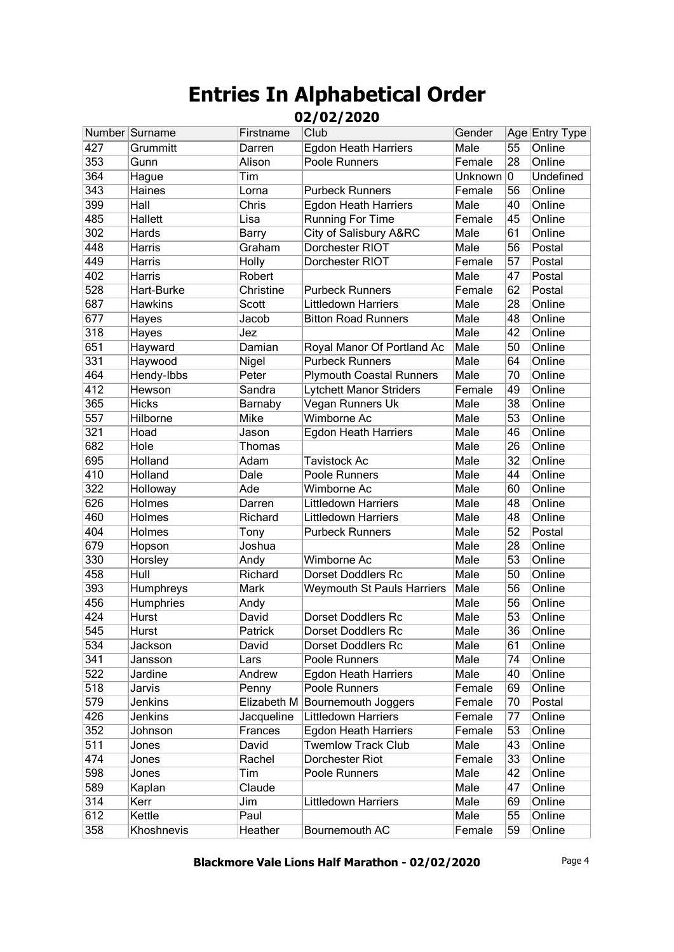|     | Number Surname | Firstname    | Club                              | Gender  |                 | Age Entry Type |
|-----|----------------|--------------|-----------------------------------|---------|-----------------|----------------|
| 427 | Grummitt       | Darren       | <b>Egdon Heath Harriers</b>       | Male    | 55              | Online         |
| 353 | Gunn           | Alison       | Poole Runners                     | Female  | 28              | Online         |
| 364 | Hague          | Tim          |                                   | Unknown | 10              | Undefined      |
| 343 | Haines         | Lorna        | <b>Purbeck Runners</b>            | Female  | 56              | Online         |
| 399 | Hall           | Chris        | <b>Egdon Heath Harriers</b>       | Male    | 40              | Online         |
| 485 | <b>Hallett</b> | Lisa         | <b>Running For Time</b>           | Female  | 45              | Online         |
| 302 | Hards          | <b>Barry</b> | City of Salisbury A&RC            | Male    | 61              | Online         |
| 448 | Harris         | Graham       | Dorchester RIOT                   | Male    | 56              | Postal         |
| 449 | Harris         | Holly        | Dorchester RIOT                   | Female  | 57              | Postal         |
| 402 | Harris         | Robert       |                                   | Male    | 47              | Postal         |
| 528 | Hart-Burke     | Christine    | <b>Purbeck Runners</b>            | Female  | 62              | Postal         |
| 687 | <b>Hawkins</b> | Scott        | Littledown Harriers               | Male    | 28              | Online         |
| 677 | Hayes          | Jacob        | <b>Bitton Road Runners</b>        | Male    | 48              | Online         |
| 318 | Hayes          | Jez          |                                   | Male    | 42              | Online         |
| 651 | Hayward        | Damian       | Royal Manor Of Portland Ac        | Male    | 50              | Online         |
| 331 | Haywood        | Nigel        | <b>Purbeck Runners</b>            | Male    | 64              | Online         |
| 464 | Hendy-Ibbs     | Peter        | <b>Plymouth Coastal Runners</b>   | Male    | 70              | Online         |
| 412 | Hewson         | Sandra       | <b>Lytchett Manor Striders</b>    | Female  | 49              | Online         |
| 365 | <b>Hicks</b>   | Barnaby      | Vegan Runners Uk                  | Male    | 38              | Online         |
| 557 | Hilborne       | Mike         | <b>Wimborne Ac</b>                | Male    | 53              | Online         |
| 321 | Hoad           | Jason        | <b>Egdon Heath Harriers</b>       | Male    | 46              | Online         |
| 682 | Hole           | Thomas       |                                   | Male    | 26              | Online         |
| 695 | Holland        | Adam         | <b>Tavistock Ac</b>               | Male    | 32              | Online         |
| 410 | Holland        | Dale         | Poole Runners                     | Male    | 44              | Online         |
| 322 | Holloway       | Ade          | Wimborne Ac                       | Male    | 60              | Online         |
| 626 | <b>Holmes</b>  | Darren       | <b>Littledown Harriers</b>        | Male    | 48              | Online         |
| 460 | Holmes         | Richard      | <b>Littledown Harriers</b>        | Male    | 48              | Online         |
| 404 | Holmes         | Tony         | <b>Purbeck Runners</b>            | Male    | 52              | Postal         |
| 679 | Hopson         | Joshua       |                                   | Male    | 28              | Online         |
| 330 | Horsley        | Andy         | Wimborne Ac                       | Male    | 53              | Online         |
| 458 | Hull           | Richard      | <b>Dorset Doddlers Rc</b>         | Male    | 50              | Online         |
| 393 | Humphreys      | Mark         | <b>Weymouth St Pauls Harriers</b> | Male    | 56              | Online         |
| 456 | Humphries      | Andy         |                                   | Male    | 56              | Online         |
| 424 | Hurst          | David        | <b>Dorset Doddlers Rc</b>         | Male    | 53              | Online         |
| 545 | Hurst          | Patrick      | Dorset Doddlers Rc                | Male    | $\overline{36}$ | Online         |
| 534 | Jackson        | David        | Dorset Doddlers Rc                | Male    | 61              | Online         |
| 341 | Jansson        | Lars         | Poole Runners                     | Male    | 74              | Online         |
| 522 | Jardine        | Andrew       | <b>Egdon Heath Harriers</b>       | Male    | 40              | Online         |
| 518 | Jarvis         | Penny        | Poole Runners                     | Female  | 69              | Online         |
| 579 | Jenkins        |              | Elizabeth M Bournemouth Joggers   | Female  | 70              | Postal         |
| 426 | Jenkins        | Jacqueline   | <b>Littledown Harriers</b>        | Female  | 77              | Online         |
| 352 | Johnson        | Frances      | <b>Egdon Heath Harriers</b>       | Female  | 53              | Online         |
| 511 | Jones          | David        | <b>Twemlow Track Club</b>         | Male    | 43              | Online         |
| 474 | Jones          | Rachel       | Dorchester Riot                   | Female  | 33              | Online         |
| 598 | Jones          | Tim          | Poole Runners                     | Male    | 42              | Online         |
| 589 | Kaplan         | Claude       |                                   | Male    | 47              | Online         |
| 314 | Kerr           | Jim          | Littledown Harriers               | Male    | 69              | Online         |
| 612 | Kettle         | Paul         |                                   | Male    | 55              | Online         |
| 358 | Khoshnevis     | Heather      | Bournemouth AC                    | Female  | 59              | Online         |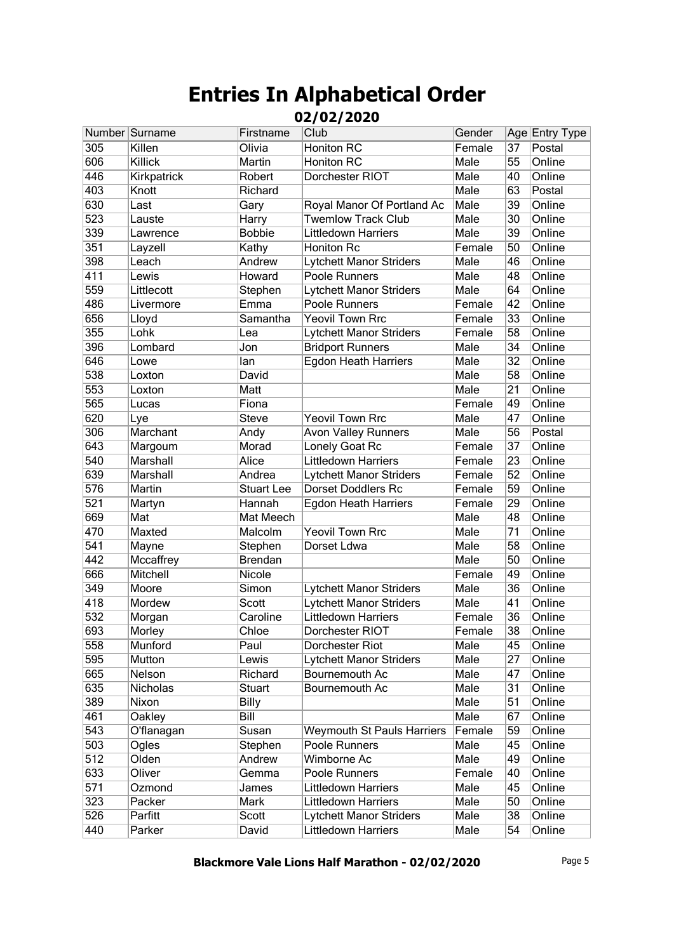|     | Number Surname | Firstname         | Club                              | Gender |    | Age Entry Type |
|-----|----------------|-------------------|-----------------------------------|--------|----|----------------|
| 305 | Killen         | Olivia            | <b>Honiton RC</b>                 | Female | 37 | Postal         |
| 606 | Killick        | Martin            | <b>Honiton RC</b>                 | Male   | 55 | Online         |
| 446 | Kirkpatrick    | Robert            | Dorchester RIOT                   | Male   | 40 | Online         |
| 403 | Knott          | Richard           |                                   | Male   | 63 | Postal         |
| 630 | Last           | Gary              | Royal Manor Of Portland Ac        | Male   | 39 | Online         |
| 523 | Lauste         | Harry             | <b>Twemlow Track Club</b>         | Male   | 30 | Online         |
| 339 | Lawrence       | <b>Bobbie</b>     | <b>Littledown Harriers</b>        | Male   | 39 | Online         |
| 351 | Layzell        | Kathy             | Honiton Rc                        | Female | 50 | Online         |
| 398 | Leach          | Andrew            | Lytchett Manor Striders           | Male   | 46 | Online         |
| 411 | Lewis          | Howard            | Poole Runners                     | Male   | 48 | Online         |
| 559 | Littlecott     | Stephen           | <b>Lytchett Manor Striders</b>    | Male   | 64 | Online         |
| 486 | Livermore      | Emma              | Poole Runners                     | Female | 42 | Online         |
| 656 | Lloyd          | Samantha          | <b>Yeovil Town Rrc</b>            | Female | 33 | Online         |
| 355 | Lohk           | Lea               | <b>Lytchett Manor Striders</b>    | Female | 58 | Online         |
| 396 | Lombard        | Jon               | <b>Bridport Runners</b>           | Male   | 34 | Online         |
| 646 | Lowe           | lan               | <b>Egdon Heath Harriers</b>       | Male   | 32 | Online         |
| 538 | Loxton         | David             |                                   | Male   | 58 | Online         |
| 553 | Loxton         | Matt              |                                   | Male   | 21 | Online         |
| 565 | Lucas          | Fiona             |                                   | Female | 49 | Online         |
| 620 | Lye            | <b>Steve</b>      | <b>Yeovil Town Rrc</b>            | Male   | 47 | Online         |
| 306 | Marchant       | Andy              | <b>Avon Valley Runners</b>        | Male   | 56 | Postal         |
| 643 | Margoum        | Morad             | Lonely Goat Rc                    | Female | 37 | Online         |
| 540 | Marshall       | Alice             | <b>Littledown Harriers</b>        | Female | 23 | Online         |
| 639 | Marshall       | Andrea            | <b>Lytchett Manor Striders</b>    | Female | 52 | Online         |
| 576 | Martin         | <b>Stuart Lee</b> | <b>Dorset Doddlers Rc</b>         | Female | 59 | Online         |
| 521 | Martyn         | Hannah            | <b>Egdon Heath Harriers</b>       | Female | 29 | Online         |
| 669 | Mat            | Mat Meech         |                                   | Male   | 48 | Online         |
| 470 | Maxted         | Malcolm           | <b>Yeovil Town Rrc</b>            | Male   | 71 | Online         |
| 541 | Mayne          | Stephen           | Dorset Ldwa                       | Male   | 58 | Online         |
| 442 | Mccaffrey      | <b>Brendan</b>    |                                   | Male   | 50 | Online         |
| 666 | Mitchell       | Nicole            |                                   | Female | 49 | Online         |
| 349 | Moore          | Simon             | Lytchett Manor Striders           | Male   | 36 | Online         |
| 418 | Mordew         | Scott             | <b>Lytchett Manor Striders</b>    | Male   | 41 | Online         |
| 532 | Morgan         | Caroline          | <b>Littledown Harriers</b>        | Female | 36 | Online         |
| 693 | Morley         | Chloe             | Dorchester RIOT                   | Female | 38 | Online         |
| 558 | Munford        | Paul              | Dorchester Riot                   | Male   | 45 | Online         |
| 595 | Mutton         | Lewis             | <b>Lytchett Manor Striders</b>    | Male   | 27 | Online         |
| 665 | Nelson         | Richard           | Bournemouth Ac                    | Male   | 47 | Online         |
| 635 | Nicholas       | Stuart            | Bournemouth Ac                    | Male   | 31 | Online         |
| 389 | Nixon          | <b>Billy</b>      |                                   | Male   | 51 | Online         |
| 461 | Oakley         | Bill              |                                   | Male   | 67 | Online         |
| 543 | O'flanagan     | Susan             | <b>Weymouth St Pauls Harriers</b> | Female | 59 | Online         |
| 503 | Ogles          | Stephen           | Poole Runners                     | Male   | 45 | Online         |
| 512 | Olden          | Andrew            | Wimborne Ac                       | Male   | 49 | Online         |
| 633 | Oliver         | Gemma             | Poole Runners                     | Female | 40 | Online         |
| 571 | Ozmond         | James             | <b>Littledown Harriers</b>        | Male   | 45 | Online         |
| 323 | Packer         | Mark              | Littledown Harriers               | Male   | 50 | Online         |
| 526 | Parfitt        | Scott             | <b>Lytchett Manor Striders</b>    | Male   | 38 | Online         |
| 440 | Parker         | David             | Littledown Harriers               | Male   | 54 | Online         |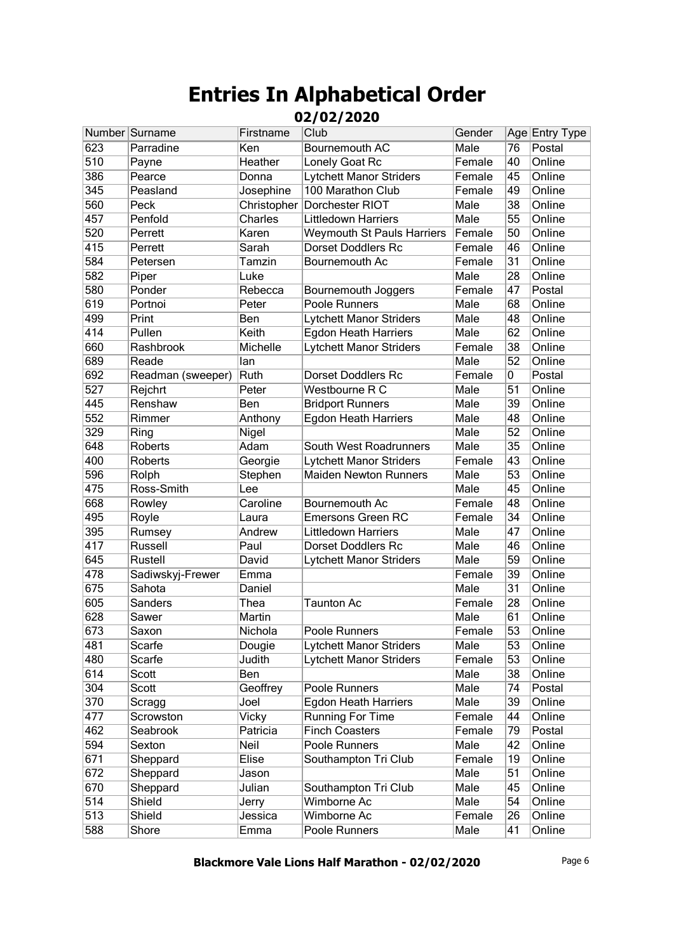|     | Number Surname    | Firstname    | Club                              | Gender |    | Age Entry Type |
|-----|-------------------|--------------|-----------------------------------|--------|----|----------------|
| 623 | Parradine         | Ken          | Bournemouth AC                    | Male   | 76 | Postal         |
| 510 | Payne             | Heather      | Lonely Goat Rc                    | Female | 40 | Online         |
| 386 | Pearce            | Donna        | <b>Lytchett Manor Striders</b>    | Female | 45 | Online         |
| 345 | Peasland          | Josephine    | 100 Marathon Club                 | Female | 49 | Online         |
| 560 | Peck              | Christopher  | Dorchester RIOT                   | Male   | 38 | Online         |
| 457 | Penfold           | Charles      | <b>Littledown Harriers</b>        | Male   | 55 | Online         |
| 520 | Perrett           | Karen        | <b>Weymouth St Pauls Harriers</b> | Female | 50 | Online         |
| 415 | Perrett           | Sarah        | <b>Dorset Doddlers Rc</b>         | Female | 46 | Online         |
| 584 | Petersen          | Tamzin       | Bournemouth Ac                    | Female | 31 | Online         |
| 582 | Piper             | Luke         |                                   | Male   | 28 | Online         |
| 580 | Ponder            | Rebecca      | Bournemouth Joggers               | Female | 47 | Postal         |
| 619 | Portnoi           | Peter        | Poole Runners                     | Male   | 68 | Online         |
| 499 | Print             | Ben          | <b>Lytchett Manor Striders</b>    | Male   | 48 | Online         |
| 414 | Pullen            | Keith        | <b>Egdon Heath Harriers</b>       | Male   | 62 | Online         |
| 660 | Rashbrook         | Michelle     | Lytchett Manor Striders           | Female | 38 | Online         |
| 689 | Reade             | lan          |                                   | Male   | 52 | Online         |
| 692 | Readman (sweeper) | Ruth         | <b>Dorset Doddlers Rc</b>         | Female | 0  | Postal         |
| 527 | Rejchrt           | Peter        | Westbourne R C                    | Male   | 51 | Online         |
| 445 | Renshaw           | Ben          | <b>Bridport Runners</b>           | Male   | 39 | Online         |
| 552 | Rimmer            | Anthony      | <b>Egdon Heath Harriers</b>       | Male   | 48 | Online         |
| 329 | Ring              | Nigel        |                                   | Male   | 52 | Online         |
| 648 | Roberts           | Adam         | South West Roadrunners            | Male   | 35 | Online         |
| 400 | Roberts           | Georgie      | Lytchett Manor Striders           | Female | 43 | Online         |
| 596 | Rolph             | Stephen      | <b>Maiden Newton Runners</b>      | Male   | 53 | Online         |
| 475 | Ross-Smith        | Lee          |                                   | Male   | 45 | Online         |
| 668 | Rowley            | Caroline     | Bournemouth Ac                    | Female | 48 | Online         |
| 495 | Royle             | Laura        | Emersons Green RC                 | Female | 34 | Online         |
| 395 | Rumsey            | Andrew       | <b>Littledown Harriers</b>        | Male   | 47 | Online         |
| 417 | Russell           | Paul         | <b>Dorset Doddlers Rc</b>         | Male   | 46 | Online         |
| 645 | Rustell           | David        | Lytchett Manor Striders           | Male   | 59 | Online         |
| 478 | Sadiwskyj-Frewer  | Emma         |                                   | Female | 39 | Online         |
| 675 | Sahota            | Daniel       |                                   | Male   | 31 | Online         |
| 605 | Sanders           | Thea         | <b>Taunton Ac</b>                 | Female | 28 | Online         |
| 628 | Sawer             | Martin       |                                   | Male   | 61 | Online         |
| 673 | Saxon             | Nichola      | Poole Runners                     | Female | 53 | Online         |
| 481 | Scarfe            | Dougie       | <b>Lytchett Manor Striders</b>    | Male   | 53 | Online         |
| 480 | Scarfe            | Judith       | <b>Lytchett Manor Striders</b>    | Female | 53 | Online         |
| 614 | Scott             | Ben          |                                   | Male   | 38 | Online         |
| 304 | Scott             | Geoffrey     | Poole Runners                     | Male   | 74 | Postal         |
| 370 | Scragg            | Joel         | Egdon Heath Harriers              | Male   | 39 | Online         |
| 477 | Scrowston         | <b>Vicky</b> | <b>Running For Time</b>           | Female | 44 | Online         |
| 462 | Seabrook          | Patricia     | <b>Finch Coasters</b>             | Female | 79 | Postal         |
| 594 | Sexton            | Neil         | Poole Runners                     | Male   | 42 | Online         |
| 671 | Sheppard          | Elise        | Southampton Tri Club              | Female | 19 | Online         |
| 672 | Sheppard          | Jason        |                                   | Male   | 51 | Online         |
| 670 | Sheppard          | Julian       | Southampton Tri Club              | Male   | 45 | Online         |
| 514 | Shield            | Jerry        | Wimborne Ac                       | Male   | 54 | Online         |
| 513 | Shield            | Jessica      | Wimborne Ac                       | Female | 26 | Online         |
| 588 | Shore             | Emma         | Poole Runners                     | Male   | 41 | Online         |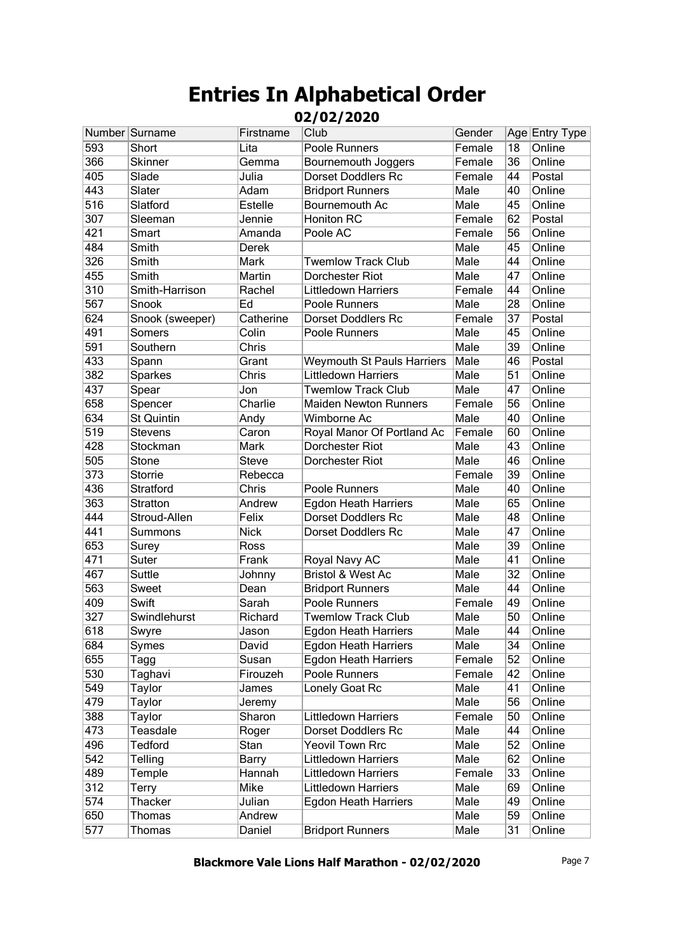|     | Number Surname    | Firstname   | Club                              | Gender |    | Age Entry Type |
|-----|-------------------|-------------|-----------------------------------|--------|----|----------------|
| 593 | Short             | Lita        | Poole Runners                     | Female | 18 | Online         |
| 366 | <b>Skinner</b>    | Gemma       | Bournemouth Joggers               | Female | 36 | Online         |
| 405 | Slade             | Julia       | <b>Dorset Doddlers Rc</b>         | Female | 44 | Postal         |
| 443 | Slater            | Adam        | <b>Bridport Runners</b>           | Male   | 40 | Online         |
| 516 | Slatford          | Estelle     | Bournemouth Ac                    | Male   | 45 | Online         |
| 307 | Sleeman           | Jennie      | <b>Honiton RC</b>                 | Female | 62 | Postal         |
| 421 | Smart             | Amanda      | Poole AC                          | Female | 56 | Online         |
| 484 | Smith             | Derek       |                                   | Male   | 45 | Online         |
| 326 | Smith             | Mark        | <b>Twemlow Track Club</b>         | Male   | 44 | Online         |
| 455 | Smith             | Martin      | Dorchester Riot                   | Male   | 47 | Online         |
| 310 | Smith-Harrison    | Rachel      | <b>Littledown Harriers</b>        | Female | 44 | Online         |
| 567 | Snook             | Ed          | Poole Runners                     | Male   | 28 | Online         |
| 624 | Snook (sweeper)   | Catherine   | <b>Dorset Doddlers Rc</b>         | Female | 37 | Postal         |
| 491 | Somers            | Colin       | Poole Runners                     | Male   | 45 | Online         |
| 591 | Southern          | Chris       |                                   | Male   | 39 | Online         |
| 433 | Spann             | Grant       | <b>Weymouth St Pauls Harriers</b> | Male   | 46 | Postal         |
| 382 | Sparkes           | Chris       | <b>Littledown Harriers</b>        | Male   | 51 | Online         |
| 437 | Spear             | Jon         | <b>Twemlow Track Club</b>         | Male   | 47 | Online         |
| 658 | Spencer           | Charlie     | <b>Maiden Newton Runners</b>      | Female | 56 | Online         |
| 634 | <b>St Quintin</b> | Andy        | Wimborne Ac                       | Male   | 40 | Online         |
| 519 | <b>Stevens</b>    | Caron       | Royal Manor Of Portland Ac        | Female | 60 | Online         |
| 428 | Stockman          | <b>Mark</b> | <b>Dorchester Riot</b>            | Male   | 43 | Online         |
| 505 | Stone             | Steve       | Dorchester Riot                   | Male   | 46 | Online         |
| 373 | Storrie           | Rebecca     |                                   | Female | 39 | Online         |
| 436 | Stratford         | Chris       | Poole Runners                     | Male   | 40 | Online         |
| 363 | Stratton          | Andrew      | <b>Egdon Heath Harriers</b>       | Male   | 65 | Online         |
| 444 | Stroud-Allen      | Felix       | <b>Dorset Doddlers Rc</b>         | Male   | 48 | Online         |
| 441 | Summons           | <b>Nick</b> | <b>Dorset Doddlers Rc</b>         | Male   | 47 | Online         |
| 653 | Surey             | Ross        |                                   | Male   | 39 | Online         |
| 471 | Suter             | Frank       | Royal Navy AC                     | Male   | 41 | Online         |
| 467 | Suttle            | Johnny      | Bristol & West Ac                 | Male   | 32 | Online         |
| 563 | Sweet             | Dean        | <b>Bridport Runners</b>           | Male   | 44 | Online         |
| 409 | Swift             | Sarah       | Poole Runners                     | Female | 49 | Online         |
| 327 | Swindlehurst      | Richard     | <b>Twemlow Track Club</b>         | Male   | 50 | Online         |
| 618 | Swyre             | Jason       | <b>Egdon Heath Harriers</b>       | Male   | 44 | Online         |
| 684 | Symes             | David       | <b>Egdon Heath Harriers</b>       | Male   | 34 | Online         |
| 655 | Tagg              | Susan       | <b>Egdon Heath Harriers</b>       | Female | 52 | Online         |
| 530 | Taghavi           | Firouzeh    | Poole Runners                     | Female | 42 | Online         |
| 549 | Taylor            | James       | Lonely Goat Rc                    | Male   | 41 | Online         |
| 479 | <b>Taylor</b>     | Jeremy      |                                   | Male   | 56 | Online         |
| 388 | <b>Taylor</b>     | Sharon      | <b>Littledown Harriers</b>        | Female | 50 | Online         |
| 473 | Teasdale          | Roger       | <b>Dorset Doddlers Rc</b>         | Male   | 44 | Online         |
| 496 | <b>Tedford</b>    | <b>Stan</b> | <b>Yeovil Town Rrc</b>            | Male   | 52 | Online         |
| 542 | Telling           | Barry       | <b>Littledown Harriers</b>        | Male   | 62 | Online         |
| 489 | Temple            | Hannah      | Littledown Harriers               | Female | 33 | Online         |
| 312 | <b>Terry</b>      | Mike        | Littledown Harriers               | Male   | 69 | Online         |
| 574 | Thacker           | Julian      | <b>Egdon Heath Harriers</b>       | Male   | 49 | Online         |
| 650 | <b>Thomas</b>     | Andrew      |                                   | Male   | 59 | Online         |
| 577 | <b>Thomas</b>     | Daniel      | <b>Bridport Runners</b>           | Male   | 31 | Online         |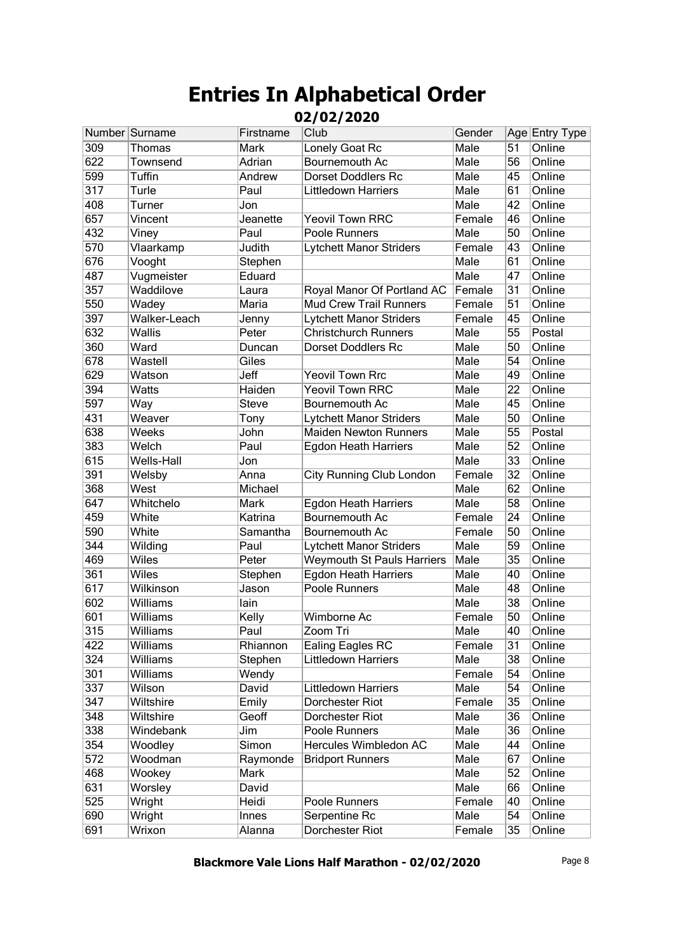|                  | Number Surname | Firstname | Club                              | Gender |    | Age Entry Type |
|------------------|----------------|-----------|-----------------------------------|--------|----|----------------|
| 309              | Thomas         | Mark      | Lonely Goat Rc                    | Male   | 51 | Online         |
| 622              | Townsend       | Adrian    | Bournemouth Ac                    | Male   | 56 | Online         |
| 599              | Tuffin         | Andrew    | <b>Dorset Doddlers Rc</b>         | Male   | 45 | Online         |
| $\overline{317}$ | Turle          | Paul      | <b>Littledown Harriers</b>        | Male   | 61 | Online         |
| 408              | Turner         | Jon       |                                   | Male   | 42 | Online         |
| 657              | Vincent        | Jeanette  | Yeovil Town RRC                   | Female | 46 | Online         |
| 432              | Viney          | Paul      | Poole Runners                     | Male   | 50 | Online         |
| 570              | Vlaarkamp      | Judith    | Lytchett Manor Striders           | Female | 43 | Online         |
| 676              | Vooght         | Stephen   |                                   | Male   | 61 | Online         |
| 487              | Vugmeister     | Eduard    |                                   | Male   | 47 | Online         |
| 357              | Waddilove      | Laura     | Royal Manor Of Portland AC        | Female | 31 | Online         |
| 550              | Wadey          | Maria     | <b>Mud Crew Trail Runners</b>     | Female | 51 | Online         |
| 397              | Walker-Leach   | Jenny     | <b>Lytchett Manor Striders</b>    | Female | 45 | Online         |
| 632              | Wallis         | Peter     | <b>Christchurch Runners</b>       | Male   | 55 | Postal         |
| 360              | Ward           | Duncan    | <b>Dorset Doddlers Rc</b>         | Male   | 50 | Online         |
| 678              | Wastell        | Giles     |                                   | Male   | 54 | Online         |
| 629              | Watson         | Jeff      | <b>Yeovil Town Rrc</b>            | Male   | 49 | Online         |
| 394              | Watts          | Haiden    | <b>Yeovil Town RRC</b>            | Male   | 22 | Online         |
| 597              | Way            | Steve     | Bournemouth Ac                    | Male   | 45 | Online         |
| 431              | Weaver         | Tony      | <b>Lytchett Manor Striders</b>    | Male   | 50 | Online         |
| 638              | <b>Weeks</b>   | John      | <b>Maiden Newton Runners</b>      | Male   | 55 | Postal         |
| 383              | Welch          | Paul      | <b>Egdon Heath Harriers</b>       | Male   | 52 | Online         |
| 615              | Wells-Hall     | Jon       |                                   | Male   | 33 | Online         |
| 391              | Welsby         | Anna      | City Running Club London          | Female | 32 | Online         |
| 368              | West           | Michael   |                                   | Male   | 62 | Online         |
| 647              | Whitchelo      | Mark      | <b>Egdon Heath Harriers</b>       | Male   | 58 | Online         |
| 459              | White          | Katrina   | Bournemouth Ac                    | Female | 24 | Online         |
| 590              | White          | Samantha  | Bournemouth Ac                    | Female | 50 | Online         |
| $\overline{344}$ | Wilding        | Paul      | Lytchett Manor Striders           | Male   | 59 | Online         |
| 469              | <b>Wiles</b>   | Peter     | <b>Weymouth St Pauls Harriers</b> | Male   | 35 | Online         |
| 361              | <b>Wiles</b>   | Stephen   | Egdon Heath Harriers              | Male   | 40 | Online         |
| 617              | Wilkinson      | Jason     | Poole Runners                     | Male   | 48 | Online         |
| 602              | Williams       | lain      |                                   | Male   | 38 | Online         |
| 601              | Williams       | Kelly     | Wimborne Ac                       | Female | 50 | Online         |
| 315              | Williams       | Paul      | Zoom Tri                          | Male   | 40 | Online         |
| 422              | Williams       | Rhiannon  | <b>Ealing Eagles RC</b>           | Female | 31 | Online         |
| 324              | Williams       | Stephen   | Littledown Harriers               | Male   | 38 | Online         |
| 301              | Williams       | Wendy     |                                   | Female | 54 | Online         |
| 337              | Wilson         | David     | Littledown Harriers               | Male   | 54 | Online         |
| 347              | Wiltshire      | Emily     | Dorchester Riot                   | Female | 35 | Online         |
| 348              | Wiltshire      | Geoff     | Dorchester Riot                   | Male   | 36 | Online         |
| 338              | Windebank      | Jim       | Poole Runners                     | Male   | 36 | Online         |
| 354              | Woodley        | Simon     | Hercules Wimbledon AC             | Male   | 44 | Online         |
| $\overline{572}$ | Woodman        | Raymonde  | <b>Bridport Runners</b>           | Male   | 67 | Online         |
| 468              | Wookey         | Mark      |                                   | Male   | 52 | Online         |
| 631              | Worsley        | David     |                                   | Male   | 66 | Online         |
| 525              | Wright         | Heidi     | Poole Runners                     | Female | 40 | Online         |
| 690              | Wright         | Innes     | Serpentine Rc                     | Male   | 54 | Online         |
| 691              | Wrixon         | Alanna    | Dorchester Riot                   | Female | 35 | Online         |